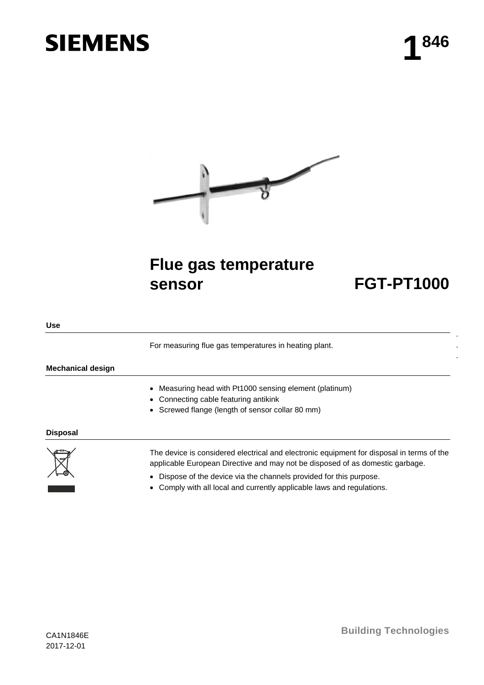# **SIEMENS**



# **Flue gas temperature sensor FGT-PT1000**

. . .

**Use**

For measuring flue gas temperatures in heating plant.

### **Mechanical design**

- Measuring head with Pt1000 sensing element (platinum)
- Connecting cable featuring antikink
- Screwed flange (length of sensor collar 80 mm)

#### **Disposal**



The device is considered electrical and electronic equipment for disposal in terms of the applicable European Directive and may not be disposed of as domestic garbage.

- Dispose of the device via the channels provided for this purpose.
- Comply with all local and currently applicable laws and regulations.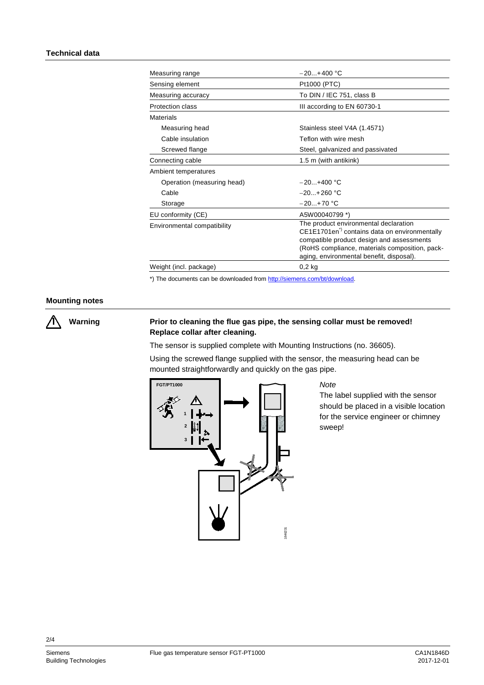| Measuring range             | $-20+400$ °C                                                                                                                                                                                                                                  |
|-----------------------------|-----------------------------------------------------------------------------------------------------------------------------------------------------------------------------------------------------------------------------------------------|
| Sensing element             | Pt1000 (PTC)                                                                                                                                                                                                                                  |
| Measuring accuracy          | To DIN / IEC 751, class B                                                                                                                                                                                                                     |
| Protection class            | III according to EN 60730-1                                                                                                                                                                                                                   |
| <b>Materials</b>            |                                                                                                                                                                                                                                               |
| Measuring head              | Stainless steel V4A (1.4571)                                                                                                                                                                                                                  |
| Cable insulation            | Teflon with wire mesh                                                                                                                                                                                                                         |
| Screwed flange              | Steel, galvanized and passivated                                                                                                                                                                                                              |
| Connecting cable            | 1.5 m (with antikink)                                                                                                                                                                                                                         |
| Ambient temperatures        |                                                                                                                                                                                                                                               |
| Operation (measuring head)  | $-20.1+400$ °C                                                                                                                                                                                                                                |
| Cable                       | $-20.1+260$ °C                                                                                                                                                                                                                                |
| Storage                     | $-20+70$ °C                                                                                                                                                                                                                                   |
| EU conformity (CE)          | A5W00040799 *)                                                                                                                                                                                                                                |
| Environmental compatibility | The product environmental declaration<br>CE1E1701en <sup>*)</sup> contains data on environmentally<br>compatible product design and assessments<br>(RoHS compliance, materials composition, pack-<br>aging, environmental benefit, disposal). |
| Weight (incl. package)      | $0,2$ kg                                                                                                                                                                                                                                      |

\*) The documents can be downloaded from [http://siemens.com/bt/download.](http://siemens.com/bt/download)

#### **Mounting notes**

**Warning**

 $\bigwedge$ 

## **Prior to cleaning the flue gas pipe, the sensing collar must be removed! Replace collar after cleaning.**

The sensor is supplied complete with Mounting Instructions (no. 36605).

Using the screwed flange supplied with the sensor, the measuring head can be mounted straightforwardly and quickly on the gas pipe.



*Note*

The label supplied with the sensor should be placed in a visible location for the service engineer or chimney sweep!

2/4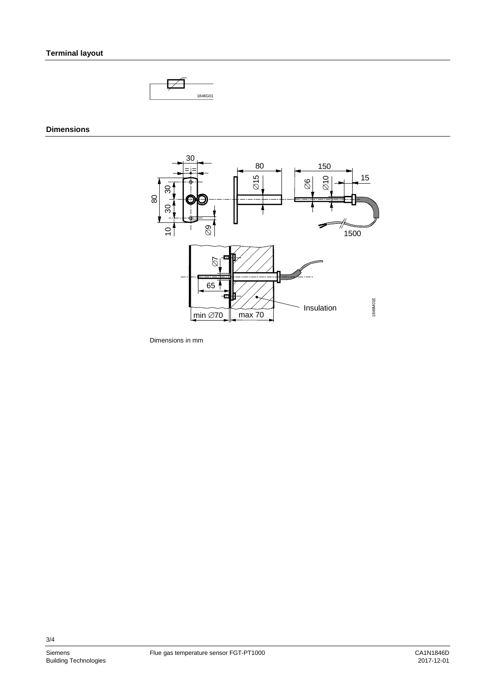

# **Dimensions**



Dimensions in mm

3/4